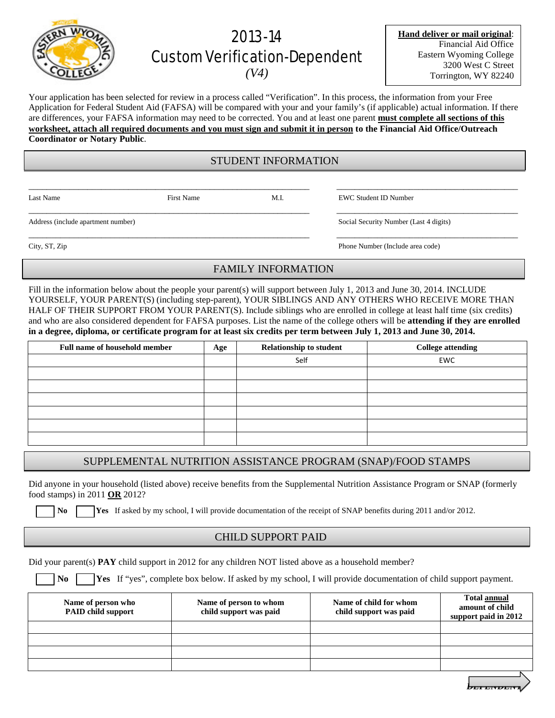

# 2013-14 Custom Verification-Dependent *(V4)*

**Hand deliver or mail original**: Financial Aid Office Eastern Wyoming College 3200 West C Street Torrington, WY 82240

Your application has been selected for review in a process called "Verification". In this process, the information from your Free Application for Federal Student Aid (FAFSA) will be compared with your and your family's (if applicable) actual information. If there are differences, your FAFSA information may need to be corrected. You and at least one parent **must complete all sections of this worksheet, attach all required documents and you must sign and submit it in person to the Financial Aid Office/Outreach Coordinator or Notary Public**.

#### STUDENT INFORMATION

\_\_\_\_\_\_\_\_\_\_\_\_\_\_\_\_\_\_\_\_\_\_\_\_\_\_\_\_\_\_\_\_\_\_\_\_\_\_\_\_\_\_\_\_\_\_\_\_\_\_\_\_\_\_\_\_\_\_\_\_\_\_ \_\_\_\_\_\_\_\_\_\_\_\_\_\_\_\_\_\_\_\_\_\_\_\_\_\_\_\_\_\_\_\_\_\_\_\_\_\_\_\_

\_\_\_\_\_\_\_\_\_\_\_\_\_\_\_\_\_\_\_\_\_\_\_\_\_\_\_\_\_\_\_\_\_\_\_\_\_\_\_\_\_\_\_\_\_\_\_\_\_\_\_\_\_\_\_\_\_\_\_\_\_\_ \_\_\_\_\_\_\_\_\_\_\_\_\_\_\_\_\_\_\_\_\_\_\_\_\_\_\_\_\_\_\_\_\_\_\_\_\_\_\_\_

\_\_\_\_\_\_\_\_\_\_\_\_\_\_\_\_\_\_\_\_\_\_\_\_\_\_\_\_\_\_\_\_\_\_\_\_\_\_\_\_\_\_\_\_\_\_\_\_\_\_\_\_\_\_\_\_\_\_\_\_\_\_ \_\_\_\_\_\_\_\_\_\_\_\_\_\_\_\_\_\_\_\_\_\_\_\_\_\_\_\_\_\_\_\_\_\_\_\_\_\_\_\_

Last Name First Name M.I. EWC Student ID Number

Address (include apartment number) Social Security Number (Last 4 digits)

City, ST, Zip Phone Number (Include area code)

### FAMILY INFORMATION

Fill in the information below about the people your parent(s) will support between July 1, 2013 and June 30, 2014. INCLUDE YOURSELF, YOUR PARENT(S) (including step-parent), YOUR SIBLINGS AND ANY OTHERS WHO RECEIVE MORE THAN HALF OF THEIR SUPPORT FROM YOUR PARENT(S). Include siblings who are enrolled in college at least half time (six credits) and who are also considered dependent for FAFSA purposes. List the name of the college others will be **attending if they are enrolled in a degree, diploma, or certificate program for at least six credits per term between July 1, 2013 and June 30, 2014.**

| <b>Full name of household member</b> | Age | <b>Relationship to student</b> | <b>College attending</b> |
|--------------------------------------|-----|--------------------------------|--------------------------|
|                                      |     | Self                           | EWC                      |
|                                      |     |                                |                          |
|                                      |     |                                |                          |
|                                      |     |                                |                          |
|                                      |     |                                |                          |
|                                      |     |                                |                          |
|                                      |     |                                |                          |

#### SUPPLEMENTAL NUTRITION ASSISTANCE PROGRAM (SNAP)/FOOD STAMPS

Did anyone in your household (listed above) receive benefits from the Supplemental Nutrition Assistance Program or SNAP (formerly food stamps) in 2011 **OR** 2012?

**No I**Yes If asked by my school, I will provide documentation of the receipt of SNAP benefits during 2011 and/or 2012.

#### CHILD SUPPORT PAID

Did your parent(s) **PAY** child support in 2012 for any children NOT listed above as a household member?

 **No Yes** If "yes", complete box below. If asked by my school, I will provide documentation of child support payment.

| Name of person who<br><b>PAID child support</b> | Name of person to whom<br>child support was paid | Name of child for whom<br>child support was paid | <b>Total annual</b><br>amount of child<br>support paid in 2012 |
|-------------------------------------------------|--------------------------------------------------|--------------------------------------------------|----------------------------------------------------------------|
|                                                 |                                                  |                                                  |                                                                |
|                                                 |                                                  |                                                  |                                                                |
|                                                 |                                                  |                                                  |                                                                |
|                                                 |                                                  |                                                  |                                                                |

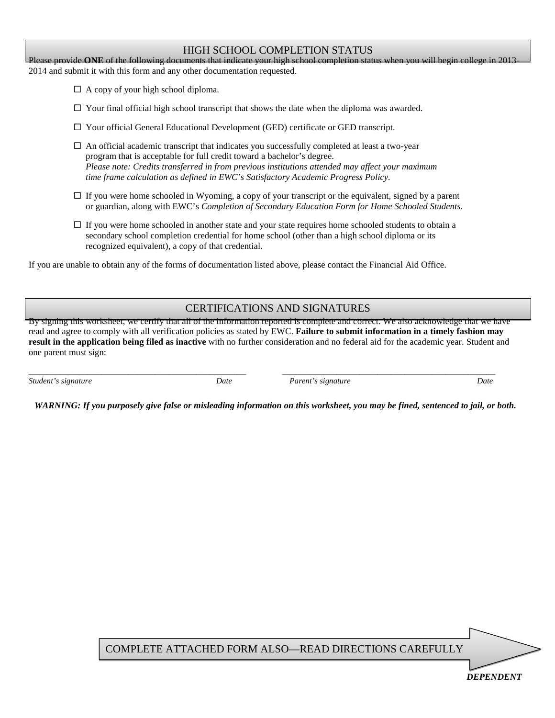#### HIGH SCHOOL COMPLETION STATUS

Please provide ONE of the following documents that indicate your high school completion status when you will begin college in 2013

2014 and submit it with this form and any other documentation requested.

- $\Box$  A copy of your high school diploma.
- $\Box$  Your final official high school transcript that shows the date when the diploma was awarded.
- $\Box$  Your official General Educational Development (GED) certificate or GED transcript.
- $\Box$  An official academic transcript that indicates you successfully completed at least a two-year program that is acceptable for full credit toward a bachelor's degree. *Please note: Credits transferred in from previous institutions attended may affect your maximum time frame calculation as defined in EWC's Satisfactory Academic Progress Policy.*
- $\Box$  If you were home schooled in Wyoming, a copy of your transcript or the equivalent, signed by a parent or guardian, along with EWC's *Completion of Secondary Education Form for Home Schooled Students.*
- $\Box$  If you were home schooled in another state and your state requires home schooled students to obtain a secondary school completion credential for home school (other than a high school diploma or its recognized equivalent), a copy of that credential.

If you are unable to obtain any of the forms of documentation listed above, please contact the Financial Aid Office.

#### CERTIFICATIONS AND SIGNATURES

By signing this worksheet, we certify that all of the information reported is complete and correct. We also acknowledge that we have read and agree to comply with all verification policies as stated by EWC. **Failure to submit information in a timely fashion may result in the application being filed as inactive** with no further consideration and no federal aid for the academic year. Student and one parent must sign:

*Student's signature Date Parent's signature Date*

\_\_\_\_\_\_\_\_\_\_\_\_\_\_\_\_\_\_\_\_\_\_\_\_\_\_\_\_\_\_\_\_\_\_\_\_\_\_\_\_\_\_\_\_\_\_\_\_ \_\_\_\_\_\_\_\_\_\_\_\_\_\_\_\_\_\_\_\_\_\_\_\_\_\_\_\_\_\_\_\_\_\_\_\_\_\_\_\_\_\_\_\_\_\_\_

*WARNING: If you purposely give false or misleading information on this worksheet, you may be fined, sentenced to jail, or both.*

COMPLETE ATTACHED FORM ALSO—READ DIRECTIONS CAREFULLY

*DEPENDENT*